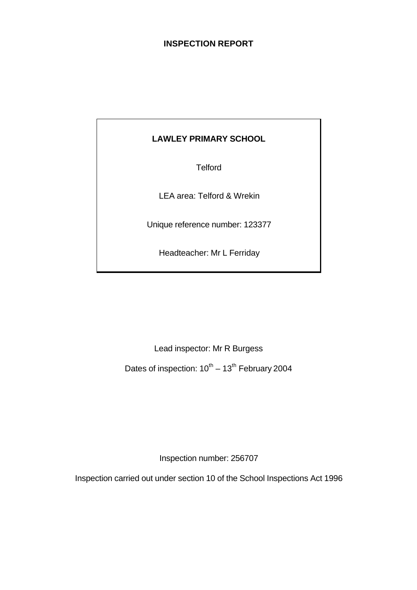# **INSPECTION REPORT**

# **LAWLEY PRIMARY SCHOOL**

**Telford** 

LEA area: Telford & Wrekin

Unique reference number: 123377

Headteacher: Mr L Ferriday

Lead inspector: Mr R Burgess

Dates of inspection:  $10^{th} - 13^{th}$  February 2004

Inspection number: 256707

Inspection carried out under section 10 of the School Inspections Act 1996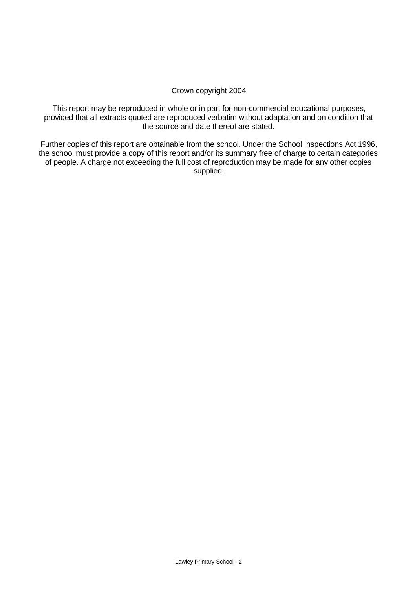### Crown copyright 2004

This report may be reproduced in whole or in part for non-commercial educational purposes, provided that all extracts quoted are reproduced verbatim without adaptation and on condition that the source and date thereof are stated.

Further copies of this report are obtainable from the school. Under the School Inspections Act 1996, the school must provide a copy of this report and/or its summary free of charge to certain categories of people. A charge not exceeding the full cost of reproduction may be made for any other copies supplied.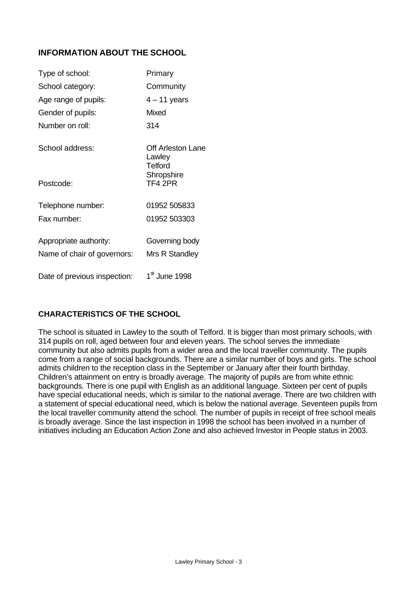# **INFORMATION ABOUT THE SCHOOL**

| Type of school:              | Primary                                              |
|------------------------------|------------------------------------------------------|
| School category:             | Community                                            |
| Age range of pupils:         | $4 - 11$ years                                       |
| Gender of pupils:            | Mixed                                                |
| Number on roll:              | 314                                                  |
| School address:              | <b>Off Arleston Lane</b><br>Lawley<br><b>Telford</b> |
| Postcode:                    | Shropshire<br>TF4 2PR                                |
| Telephone number:            | 01952 505833                                         |
| Fax number:                  | 01952 503303                                         |
| Appropriate authority:       | Governing body                                       |
| Name of chair of governors:  | Mrs R Standley                                       |
| Date of previous inspection: | 1 <sup>st</sup> June 1998                            |

# **CHARACTERISTICS OF THE SCHOOL**

The school is situated in Lawley to the south of Telford. It is bigger than most primary schools, with 314 pupils on roll, aged between four and eleven years. The school serves the immediate community but also admits pupils from a wider area and the local traveller community. The pupils come from a range of social backgrounds. There are a similar number of boys and girls. The school admits children to the reception class in the September or January after their fourth birthday. Children's attainment on entry is broadly average. The majority of pupils are from white ethnic backgrounds. There is one pupil with English as an additional language. Sixteen per cent of pupils have special educational needs, which is similar to the national average. There are two children with a statement of special educational need, which is below the national average. Seventeen pupils from the local traveller community attend the school. The number of pupils in receipt of free school meals is broadly average. Since the last inspection in 1998 the school has been involved in a number of initiatives including an Education Action Zone and also achieved Investor in People status in 2003.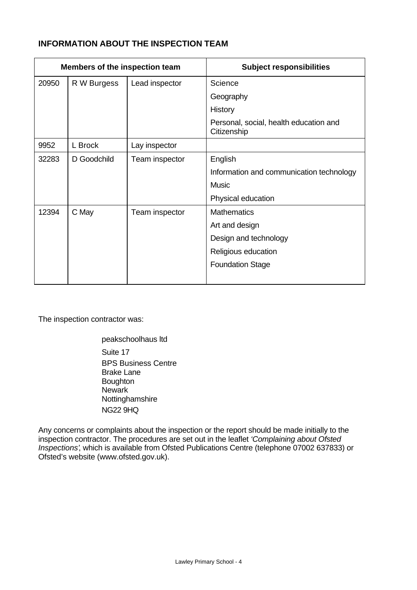# **INFORMATION ABOUT THE INSPECTION TEAM**

| Members of the inspection team |             |                | <b>Subject responsibilities</b>                       |
|--------------------------------|-------------|----------------|-------------------------------------------------------|
| 20950                          | R W Burgess | Lead inspector | Science                                               |
|                                |             |                | Geography                                             |
|                                |             |                | History                                               |
|                                |             |                | Personal, social, health education and<br>Citizenship |
| 9952                           | L Brock     | Lay inspector  |                                                       |
| 32283                          | D Goodchild | Team inspector | English                                               |
|                                |             |                | Information and communication technology              |
|                                |             |                | <b>Music</b>                                          |
|                                |             |                | Physical education                                    |
| 12394                          | C May       | Team inspector | <b>Mathematics</b>                                    |
|                                |             |                | Art and design                                        |
|                                |             |                | Design and technology                                 |
|                                |             |                | Religious education                                   |
|                                |             |                | <b>Foundation Stage</b>                               |

The inspection contractor was:

peakschoolhaus ltd Suite 17 BPS Business Centre Brake Lane Boughton **Newark** Nottinghamshire NG22 9HQ

Any concerns or complaints about the inspection or the report should be made initially to the inspection contractor. The procedures are set out in the leaflet *'Complaining about Ofsted Inspections'*, which is available from Ofsted Publications Centre (telephone 07002 637833) or Ofsted's website (www.ofsted.gov.uk).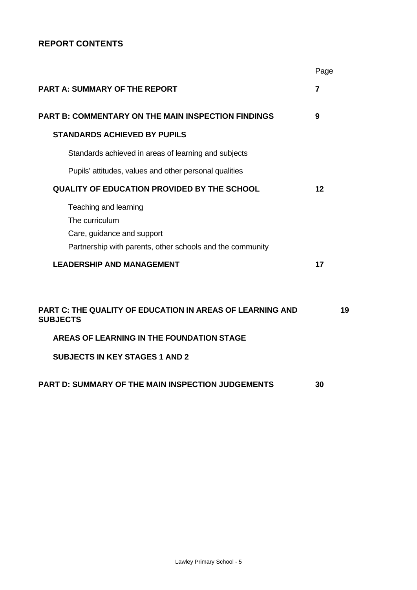# **REPORT CONTENTS**

|                                                                                                                                    | Page |
|------------------------------------------------------------------------------------------------------------------------------------|------|
| <b>PART A: SUMMARY OF THE REPORT</b>                                                                                               | 7    |
| <b>PART B: COMMENTARY ON THE MAIN INSPECTION FINDINGS</b>                                                                          | 9    |
| <b>STANDARDS ACHIEVED BY PUPILS</b>                                                                                                |      |
| Standards achieved in areas of learning and subjects                                                                               |      |
| Pupils' attitudes, values and other personal qualities                                                                             |      |
| <b>QUALITY OF EDUCATION PROVIDED BY THE SCHOOL</b>                                                                                 | 12   |
| Teaching and learning<br>The curriculum<br>Care, guidance and support<br>Partnership with parents, other schools and the community |      |
| <b>LEADERSHIP AND MANAGEMENT</b>                                                                                                   | 17   |
|                                                                                                                                    |      |
| <b>PART C: THE QUALITY OF EDUCATION IN AREAS OF LEARNING AND</b><br><b>SUBJECTS</b>                                                | 19   |
| AREAS OF LEARNING IN THE FOUNDATION STAGE                                                                                          |      |
| <b>SUBJECTS IN KEY STAGES 1 AND 2</b>                                                                                              |      |
| <b>PART D: SUMMARY OF THE MAIN INSPECTION JUDGEMENTS</b>                                                                           | 30   |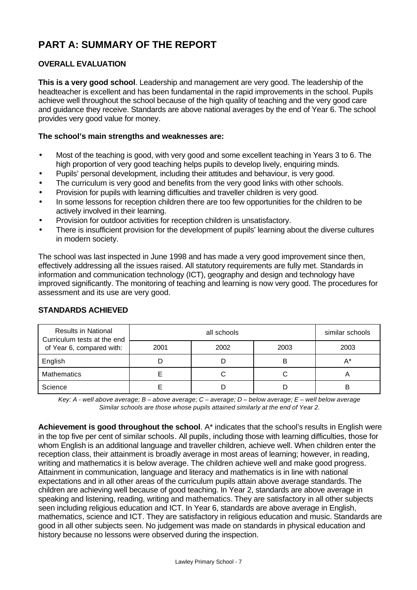# **PART A: SUMMARY OF THE REPORT**

# **OVERALL EVALUATION**

**This is a very good school**. Leadership and management are very good. The leadership of the headteacher is excellent and has been fundamental in the rapid improvements in the school. Pupils achieve well throughout the school because of the high quality of teaching and the very good care and guidance they receive. Standards are above national averages by the end of Year 6. The school provides very good value for money.

#### **The school's main strengths and weaknesses are:**

- Most of the teaching is good, with very good and some excellent teaching in Years 3 to 6. The high proportion of very good teaching helps pupils to develop lively, enquiring minds.
- Pupils' personal development, including their attitudes and behaviour, is very good.
- The curriculum is very good and benefits from the very good links with other schools.
- Provision for pupils with learning difficulties and traveller children is very good.
- In some lessons for reception children there are too few opportunities for the children to be actively involved in their learning.
- Provision for outdoor activities for reception children is unsatisfactory.
- There is insufficient provision for the development of pupils' learning about the diverse cultures in modern society.

The school was last inspected in June 1998 and has made a very good improvement since then, effectively addressing all the issues raised. All statutory requirements are fully met. Standards in information and communication technology (ICT), geography and design and technology have improved significantly. The monitoring of teaching and learning is now very good. The procedures for assessment and its use are very good.

| <b>Results in National</b><br>Curriculum tests at the end |      | similar schools |      |      |
|-----------------------------------------------------------|------|-----------------|------|------|
| of Year 6, compared with:                                 | 2001 | 2002            | 2003 | 2003 |
| English                                                   | Е    | D               | в    | A*   |
| <b>Mathematics</b>                                        |      | С               | U    | 宀    |
| Science                                                   |      | D               |      | B    |

### **STANDARDS ACHIEVED**

*Key: A - well above average; B – above average; C – average; D – below average; E – well below average Similar schools are those whose pupils attained similarly at the end of Year 2.*

**Achievement is good throughout the school**. A\* indicates that the school's results in English were in the top five per cent of similar schools. All pupils, including those with learning difficulties, those for whom English is an additional language and traveller children, achieve well. When children enter the reception class, their attainment is broadly average in most areas of learning; however, in reading, writing and mathematics it is below average. The children achieve well and make good progress. Attainment in communication, language and literacy and mathematics is in line with national expectations and in all other areas of the curriculum pupils attain above average standards. The children are achieving well because of good teaching. In Year 2, standards are above average in speaking and listening, reading, writing and mathematics. They are satisfactory in all other subjects seen including religious education and ICT. In Year 6, standards are above average in English, mathematics, science and ICT. They are satisfactory in religious education and music. Standards are good in all other subjects seen. No judgement was made on standards in physical education and history because no lessons were observed during the inspection.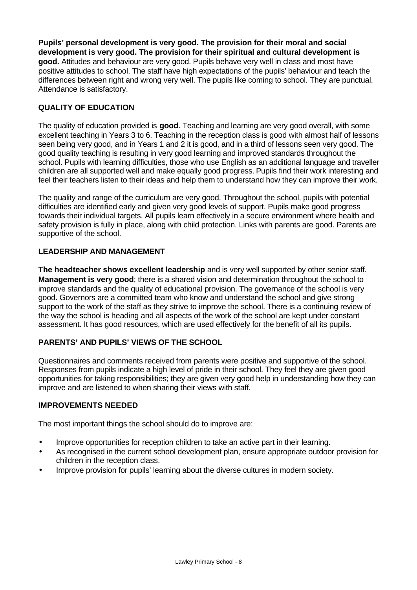**Pupils' personal development is very good. The provision for their moral and social development is very good. The provision for their spiritual and cultural development is good.** Attitudes and behaviour are very good. Pupils behave very well in class and most have positive attitudes to school. The staff have high expectations of the pupils' behaviour and teach the differences between right and wrong very well. The pupils like coming to school. They are punctual. Attendance is satisfactory.

# **QUALITY OF EDUCATION**

The quality of education provided is **good**. Teaching and learning are very good overall, with some excellent teaching in Years 3 to 6. Teaching in the reception class is good with almost half of lessons seen being very good, and in Years 1 and 2 it is good, and in a third of lessons seen very good. The good quality teaching is resulting in very good learning and improved standards throughout the school. Pupils with learning difficulties, those who use English as an additional language and traveller children are all supported well and make equally good progress. Pupils find their work interesting and feel their teachers listen to their ideas and help them to understand how they can improve their work.

The quality and range of the curriculum are very good. Throughout the school, pupils with potential difficulties are identified early and given very good levels of support. Pupils make good progress towards their individual targets. All pupils learn effectively in a secure environment where health and safety provision is fully in place, along with child protection. Links with parents are good. Parents are supportive of the school.

### **LEADERSHIP AND MANAGEMENT**

**The headteacher shows excellent leadership** and is very well supported by other senior staff. **Management is very good**; there is a shared vision and determination throughout the school to improve standards and the quality of educational provision. The governance of the school is very good. Governors are a committed team who know and understand the school and give strong support to the work of the staff as they strive to improve the school. There is a continuing review of the way the school is heading and all aspects of the work of the school are kept under constant assessment. It has good resources, which are used effectively for the benefit of all its pupils.

# **PARENTS' AND PUPILS' VIEWS OF THE SCHOOL**

Questionnaires and comments received from parents were positive and supportive of the school. Responses from pupils indicate a high level of pride in their school. They feel they are given good opportunities for taking responsibilities; they are given very good help in understanding how they can improve and are listened to when sharing their views with staff.

#### **IMPROVEMENTS NEEDED**

The most important things the school should do to improve are:

- Improve opportunities for reception children to take an active part in their learning.
- As recognised in the current school development plan, ensure appropriate outdoor provision for children in the reception class.
- Improve provision for pupils' learning about the diverse cultures in modern society.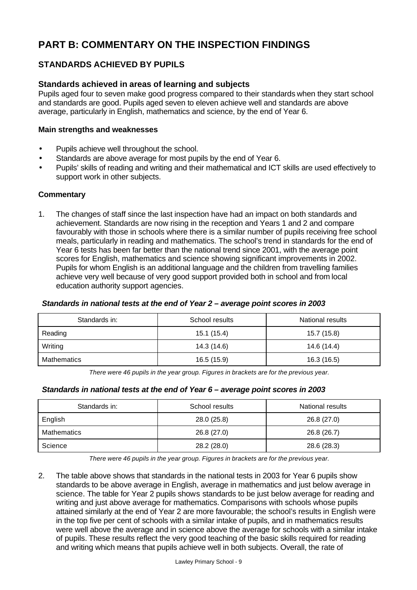# **PART B: COMMENTARY ON THE INSPECTION FINDINGS**

# **STANDARDS ACHIEVED BY PUPILS**

# **Standards achieved in areas of learning and subjects**

Pupils aged four to seven make good progress compared to their standards when they start school and standards are good. Pupils aged seven to eleven achieve well and standards are above average, particularly in English, mathematics and science, by the end of Year 6.

#### **Main strengths and weaknesses**

- Pupils achieve well throughout the school.
- Standards are above average for most pupils by the end of Year 6.
- Pupils' skills of reading and writing and their mathematical and ICT skills are used effectively to support work in other subjects.

### **Commentary**

1. The changes of staff since the last inspection have had an impact on both standards and achievement. Standards are now rising in the reception and Years 1 and 2 and compare favourably with those in schools where there is a similar number of pupils receiving free school meals, particularly in reading and mathematics. The school's trend in standards for the end of Year 6 tests has been far better than the national trend since 2001, with the average point scores for English, mathematics and science showing significant improvements in 2002. Pupils for whom English is an additional language and the children from travelling families achieve very well because of very good support provided both in school and from local education authority support agencies.

#### *Standards in national tests at the end of Year 2 – average point scores in 2003*

| Standards in: | School results | National results |
|---------------|----------------|------------------|
| Reading       | 15.1 (15.4)    | 15.7 (15.8)      |
| Writing       | 14.3 (14.6)    | 14.6 (14.4)      |
| Mathematics   | 16.5 (15.9)    | 16.3 (16.5)      |

*There were 46 pupils in the year group. Figures in brackets are for the previous year.*

# *Standards in national tests at the end of Year 6 – average point scores in 2003*

| Standards in:<br>School results |             | National results |
|---------------------------------|-------------|------------------|
| English                         | 28.0 (25.8) | 26.8 (27.0)      |
| <b>Mathematics</b>              | 26.8 (27.0) | 26.8 (26.7)      |
| Science                         | 28.2 (28.0) | 28.6 (28.3)      |

*There were 46 pupils in the year group. Figures in brackets are for the previous year.*

2. The table above shows that standards in the national tests in 2003 for Year 6 pupils show standards to be above average in English, average in mathematics and just below average in science. The table for Year 2 pupils shows standards to be just below average for reading and writing and just above average for mathematics. Comparisons with schools whose pupils attained similarly at the end of Year 2 are more favourable; the school's results in English were in the top five per cent of schools with a similar intake of pupils, and in mathematics results were well above the average and in science above the average for schools with a similar intake of pupils. These results reflect the very good teaching of the basic skills required for reading and writing which means that pupils achieve well in both subjects. Overall, the rate of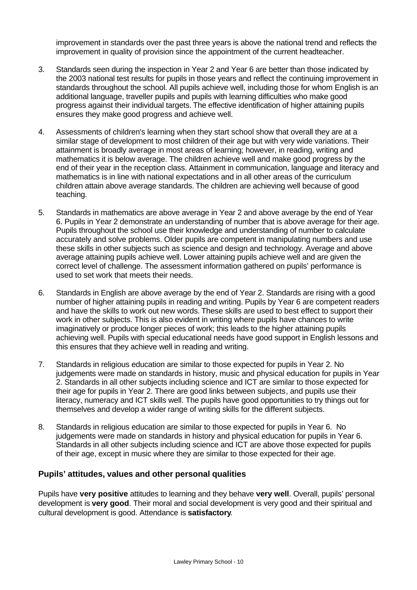improvement in standards over the past three years is above the national trend and reflects the improvement in quality of provision since the appointment of the current headteacher.

- 3. Standards seen during the inspection in Year 2 and Year 6 are better than those indicated by the 2003 national test results for pupils in those years and reflect the continuing improvement in standards throughout the school. All pupils achieve well, including those for whom English is an additional language, traveller pupils and pupils with learning difficulties who make good progress against their individual targets. The effective identification of higher attaining pupils ensures they make good progress and achieve well.
- 4. Assessments of children's learning when they start school show that overall they are at a similar stage of development to most children of their age but with very wide variations. Their attainment is broadly average in most areas of learning; however, in reading, writing and mathematics it is below average. The children achieve well and make good progress by the end of their year in the reception class. Attainment in communication, language and literacy and mathematics is in line with national expectations and in all other areas of the curriculum children attain above average standards. The children are achieving well because of good teaching.
- 5. Standards in mathematics are above average in Year 2 and above average by the end of Year 6. Pupils in Year 2 demonstrate an understanding of number that is above average for their age. Pupils throughout the school use their knowledge and understanding of number to calculate accurately and solve problems. Older pupils are competent in manipulating numbers and use these skills in other subjects such as science and design and technology. Average and above average attaining pupils achieve well. Lower attaining pupils achieve well and are given the correct level of challenge. The assessment information gathered on pupils' performance is used to set work that meets their needs.
- 6. Standards in English are above average by the end of Year 2. Standards are rising with a good number of higher attaining pupils in reading and writing. Pupils by Year 6 are competent readers and have the skills to work out new words. These skills are used to best effect to support their work in other subjects. This is also evident in writing where pupils have chances to write imaginatively or produce longer pieces of work; this leads to the higher attaining pupils achieving well. Pupils with special educational needs have good support in English lessons and this ensures that they achieve well in reading and writing.
- 7. Standards in religious education are similar to those expected for pupils in Year 2. No judgements were made on standards in history, music and physical education for pupils in Year 2. Standards in all other subjects including science and ICT are similar to those expected for their age for pupils in Year 2. There are good links between subjects, and pupils use their literacy, numeracy and ICT skills well. The pupils have good opportunities to try things out for themselves and develop a wider range of writing skills for the different subjects.
- 8. Standards in religious education are similar to those expected for pupils in Year 6. No judgements were made on standards in history and physical education for pupils in Year 6. Standards in all other subjects including science and ICT are above those expected for pupils of their age, except in music where they are similar to those expected for their age.

#### **Pupils' attitudes, values and other personal qualities**

Pupils have **very positive** attitudes to learning and they behave **very well**. Overall, pupils' personal development is **very good**. Their moral and social development is very good and their spiritual and cultural development is good. Attendance is **satisfactory**.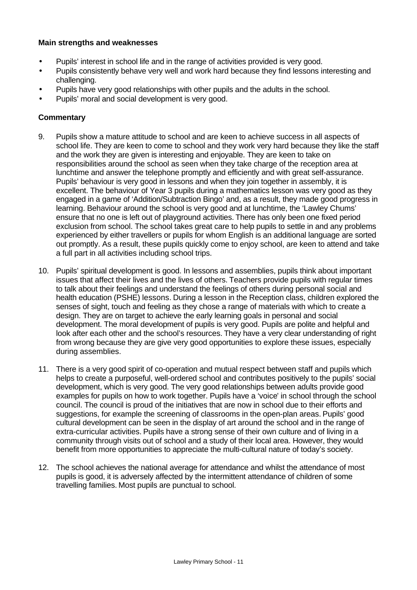#### **Main strengths and weaknesses**

- Pupils' interest in school life and in the range of activities provided is very good.
- Pupils consistently behave very well and work hard because they find lessons interesting and challenging.
- Pupils have very good relationships with other pupils and the adults in the school.
- Pupils' moral and social development is very good.

- 9. Pupils show a mature attitude to school and are keen to achieve success in all aspects of school life. They are keen to come to school and they work very hard because they like the staff and the work they are given is interesting and enjoyable. They are keen to take on responsibilities around the school as seen when they take charge of the reception area at lunchtime and answer the telephone promptly and efficiently and with great self-assurance. Pupils' behaviour is very good in lessons and when they join together in assembly, it is excellent. The behaviour of Year 3 pupils during a mathematics lesson was very good as they engaged in a game of 'Addition/Subtraction Bingo' and, as a result, they made good progress in learning. Behaviour around the school is very good and at lunchtime, the 'Lawley Chums' ensure that no one is left out of playground activities. There has only been one fixed period exclusion from school. The school takes great care to help pupils to settle in and any problems experienced by either travellers or pupils for whom English is an additional language are sorted out promptly. As a result, these pupils quickly come to enjoy school, are keen to attend and take a full part in all activities including school trips.
- 10. Pupils' spiritual development is good. In lessons and assemblies, pupils think about important issues that affect their lives and the lives of others. Teachers provide pupils with regular times to talk about their feelings and understand the feelings of others during personal social and health education (PSHE) lessons. During a lesson in the Reception class, children explored the senses of sight, touch and feeling as they chose a range of materials with which to create a design. They are on target to achieve the early learning goals in personal and social development. The moral development of pupils is very good. Pupils are polite and helpful and look after each other and the school's resources. They have a very clear understanding of right from wrong because they are give very good opportunities to explore these issues, especially during assemblies.
- 11. There is a very good spirit of co-operation and mutual respect between staff and pupils which helps to create a purposeful, well-ordered school and contributes positively to the pupils' social development, which is very good. The very good relationships between adults provide good examples for pupils on how to work together. Pupils have a 'voice' in school through the school council. The council is proud of the initiatives that are now in school due to their efforts and suggestions, for example the screening of classrooms in the open-plan areas. Pupils' good cultural development can be seen in the display of art around the school and in the range of extra-curricular activities. Pupils have a strong sense of their own culture and of living in a community through visits out of school and a study of their local area. However, they would benefit from more opportunities to appreciate the multi-cultural nature of today's society.
- 12. The school achieves the national average for attendance and whilst the attendance of most pupils is good, it is adversely affected by the intermittent attendance of children of some travelling families. Most pupils are punctual to school.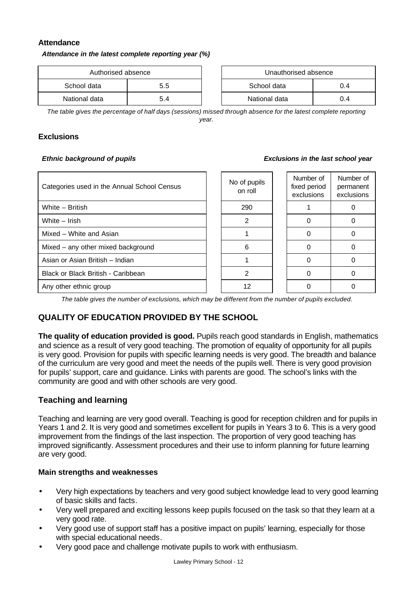#### **Attendance**

*Attendance in the latest complete reporting year (%)*

| Authorised absence |     | Unauthorised absence |     |
|--------------------|-----|----------------------|-----|
| School data<br>5.5 |     | School data          | 0.4 |
| National data      | 5.4 | National data        | 0.4 |

| Unauthorised absence |  |  |  |  |
|----------------------|--|--|--|--|
| School data<br>በ 4   |  |  |  |  |
| National data<br>በ 4 |  |  |  |  |

*The table gives the percentage of half days (sessions) missed through absence for the latest complete reporting year.*

### **Exclusions**

#### *Ethnic background of pupils Exclusions in the last school year*

| Categories used in the Annual School Census | No of pupils<br>on roll | Number of<br>fixed period<br>exclusions | Number of<br>permanent<br>exclusions |
|---------------------------------------------|-------------------------|-----------------------------------------|--------------------------------------|
| White - British                             | 290                     |                                         |                                      |
| White - Irish                               | 2                       |                                         |                                      |
| Mixed - White and Asian                     |                         |                                         |                                      |
| Mixed - any other mixed background          | 6                       |                                         |                                      |
| Asian or Asian British - Indian             |                         |                                         |                                      |
| Black or Black British - Caribbean          | 2                       |                                         |                                      |
| Any other ethnic group                      | 12                      |                                         |                                      |

*The table gives the number of exclusions, which may be different from the number of pupils excluded.*

# **QUALITY OF EDUCATION PROVIDED BY THE SCHOOL**

**The quality of education provided is good.** Pupils reach good standards in English, mathematics and science as a result of very good teaching. The promotion of equality of opportunity for all pupils is very good. Provision for pupils with specific learning needs is very good. The breadth and balance of the curriculum are very good and meet the needs of the pupils well. There is very good provision for pupils' support, care and guidance. Links with parents are good. The school's links with the community are good and with other schools are very good.

# **Teaching and learning**

Teaching and learning are very good overall. Teaching is good for reception children and for pupils in Years 1 and 2. It is very good and sometimes excellent for pupils in Years 3 to 6. This is a very good improvement from the findings of the last inspection. The proportion of very good teaching has improved significantly. Assessment procedures and their use to inform planning for future learning are very good.

#### **Main strengths and weaknesses**

- Very high expectations by teachers and very good subject knowledge lead to very good learning of basic skills and facts.
- Very well prepared and exciting lessons keep pupils focused on the task so that they learn at a very good rate.
- Very good use of support staff has a positive impact on pupils' learning, especially for those with special educational needs.
- Very good pace and challenge motivate pupils to work with enthusiasm.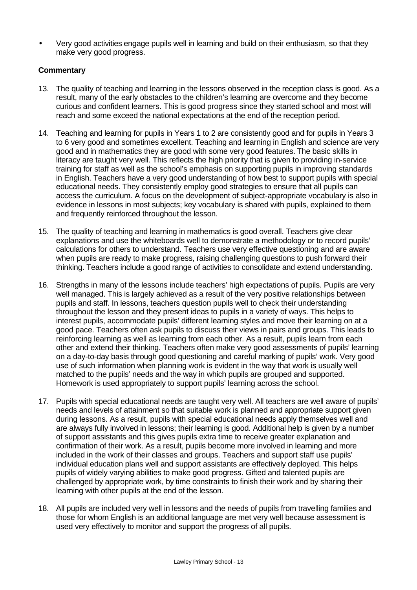• Very good activities engage pupils well in learning and build on their enthusiasm, so that they make very good progress.

- 13. The quality of teaching and learning in the lessons observed in the reception class is good. As a result, many of the early obstacles to the children's learning are overcome and they become curious and confident learners. This is good progress since they started school and most will reach and some exceed the national expectations at the end of the reception period.
- 14. Teaching and learning for pupils in Years 1 to 2 are consistently good and for pupils in Years 3 to 6 very good and sometimes excellent. Teaching and learning in English and science are very good and in mathematics they are good with some very good features. The basic skills in literacy are taught very well. This reflects the high priority that is given to providing in-service training for staff as well as the school's emphasis on supporting pupils in improving standards in English. Teachers have a very good understanding of how best to support pupils with special educational needs. They consistently employ good strategies to ensure that all pupils can access the curriculum. A focus on the development of subject-appropriate vocabulary is also in evidence in lessons in most subjects; key vocabulary is shared with pupils, explained to them and frequently reinforced throughout the lesson.
- 15. The quality of teaching and learning in mathematics is good overall. Teachers give clear explanations and use the whiteboards well to demonstrate a methodology or to record pupils' calculations for others to understand. Teachers use very effective questioning and are aware when pupils are ready to make progress, raising challenging questions to push forward their thinking. Teachers include a good range of activities to consolidate and extend understanding.
- 16. Strengths in many of the lessons include teachers' high expectations of pupils. Pupils are very well managed. This is largely achieved as a result of the very positive relationships between pupils and staff. In lessons, teachers question pupils well to check their understanding throughout the lesson and they present ideas to pupils in a variety of ways. This helps to interest pupils, accommodate pupils' different learning styles and move their learning on at a good pace. Teachers often ask pupils to discuss their views in pairs and groups. This leads to reinforcing learning as well as learning from each other. As a result, pupils learn from each other and extend their thinking. Teachers often make very good assessments of pupils' learning on a day-to-day basis through good questioning and careful marking of pupils' work. Very good use of such information when planning work is evident in the way that work is usually well matched to the pupils' needs and the way in which pupils are grouped and supported. Homework is used appropriately to support pupils' learning across the school.
- 17. Pupils with special educational needs are taught very well. All teachers are well aware of pupils' needs and levels of attainment so that suitable work is planned and appropriate support given during lessons. As a result, pupils with special educational needs apply themselves well and are always fully involved in lessons; their learning is good. Additional help is given by a number of support assistants and this gives pupils extra time to receive greater explanation and confirmation of their work. As a result, pupils become more involved in learning and more included in the work of their classes and groups. Teachers and support staff use pupils' individual education plans well and support assistants are effectively deployed. This helps pupils of widely varying abilities to make good progress. Gifted and talented pupils are challenged by appropriate work, by time constraints to finish their work and by sharing their learning with other pupils at the end of the lesson.
- 18. All pupils are included very well in lessons and the needs of pupils from travelling families and those for whom English is an additional language are met very well because assessment is used very effectively to monitor and support the progress of all pupils.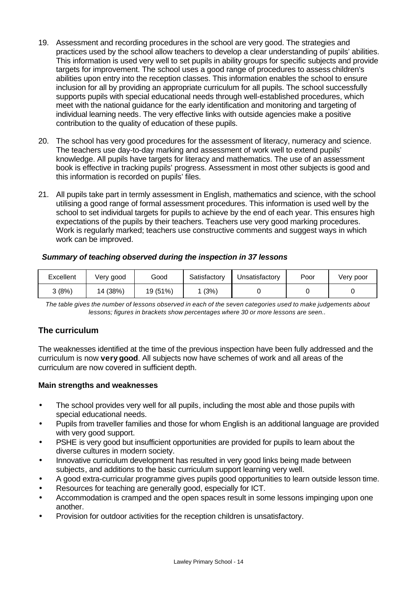- 19. Assessment and recording procedures in the school are very good. The strategies and practices used by the school allow teachers to develop a clear understanding of pupils' abilities. This information is used very well to set pupils in ability groups for specific subjects and provide targets for improvement. The school uses a good range of procedures to assess children's abilities upon entry into the reception classes. This information enables the school to ensure inclusion for all by providing an appropriate curriculum for all pupils. The school successfully supports pupils with special educational needs through well-established procedures, which meet with the national guidance for the early identification and monitoring and targeting of individual learning needs. The very effective links with outside agencies make a positive contribution to the quality of education of these pupils.
- 20. The school has very good procedures for the assessment of literacy, numeracy and science. The teachers use day-to-day marking and assessment of work well to extend pupils' knowledge. All pupils have targets for literacy and mathematics. The use of an assessment book is effective in tracking pupils' progress. Assessment in most other subjects is good and this information is recorded on pupils' files.
- 21. All pupils take part in termly assessment in English, mathematics and science, with the school utilising a good range of formal assessment procedures. This information is used well by the school to set individual targets for pupils to achieve by the end of each year. This ensures high expectations of the pupils by their teachers. Teachers use very good marking procedures. Work is regularly marked; teachers use constructive comments and suggest ways in which work can be improved.

# *Summary of teaching observed during the inspection in 37 lessons*

| Excellent | Very good | Good     | Satisfactory | Unsatisfactory | Poor | Very poor |
|-----------|-----------|----------|--------------|----------------|------|-----------|
| კ (8%)    | 14 (38%)  | 19 (51%) | (3%)         |                |      |           |

*The table gives the number of lessons observed in each of the seven categories used to make judgements about lessons; figures in brackets show percentages where 30 or more lessons are seen..*

# **The curriculum**

The weaknesses identified at the time of the previous inspection have been fully addressed and the curriculum is now **very good**. All subjects now have schemes of work and all areas of the curriculum are now covered in sufficient depth.

#### **Main strengths and weaknesses**

- The school provides very well for all pupils, including the most able and those pupils with special educational needs.
- Pupils from traveller families and those for whom English is an additional language are provided with very good support.
- PSHE is very good but insufficient opportunities are provided for pupils to learn about the diverse cultures in modern society.
- Innovative curriculum development has resulted in very good links being made between subjects, and additions to the basic curriculum support learning very well.
- A good extra-curricular programme gives pupils good opportunities to learn outside lesson time.
- Resources for teaching are generally good, especially for ICT.
- Accommodation is cramped and the open spaces result in some lessons impinging upon one another.
- Provision for outdoor activities for the reception children is unsatisfactory.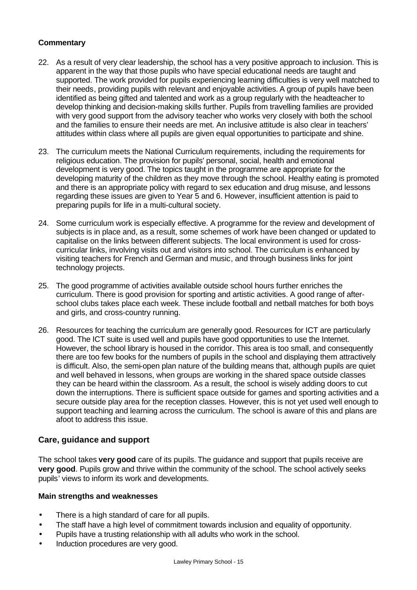# **Commentary**

- 22. As a result of very clear leadership, the school has a very positive approach to inclusion. This is apparent in the way that those pupils who have special educational needs are taught and supported. The work provided for pupils experiencing learning difficulties is very well matched to their needs, providing pupils with relevant and enjoyable activities. A group of pupils have been identified as being gifted and talented and work as a group regularly with the headteacher to develop thinking and decision-making skills further. Pupils from travelling families are provided with very good support from the advisory teacher who works very closely with both the school and the families to ensure their needs are met. An inclusive attitude is also clear in teachers' attitudes within class where all pupils are given equal opportunities to participate and shine.
- 23. The curriculum meets the National Curriculum requirements, including the requirements for religious education. The provision for pupils' personal, social, health and emotional development is very good. The topics taught in the programme are appropriate for the developing maturity of the children as they move through the school. Healthy eating is promoted and there is an appropriate policy with regard to sex education and drug misuse, and lessons regarding these issues are given to Year 5 and 6. However, insufficient attention is paid to preparing pupils for life in a multi-cultural society.
- 24. Some curriculum work is especially effective. A programme for the review and development of subjects is in place and, as a result, some schemes of work have been changed or updated to capitalise on the links between different subjects. The local environment is used for crosscurricular links, involving visits out and visitors into school. The curriculum is enhanced by visiting teachers for French and German and music, and through business links for joint technology projects.
- 25. The good programme of activities available outside school hours further enriches the curriculum. There is good provision for sporting and artistic activities. A good range of afterschool clubs takes place each week. These include football and netball matches for both boys and girls, and cross-country running.
- 26. Resources for teaching the curriculum are generally good. Resources for ICT are particularly good. The ICT suite is used well and pupils have good opportunities to use the Internet. However, the school library is housed in the corridor. This area is too small, and consequently there are too few books for the numbers of pupils in the school and displaying them attractively is difficult. Also, the semi-open plan nature of the building means that, although pupils are quiet and well behaved in lessons, when groups are working in the shared space outside classes they can be heard within the classroom. As a result, the school is wisely adding doors to cut down the interruptions. There is sufficient space outside for games and sporting activities and a secure outside play area for the reception classes. However, this is not yet used well enough to support teaching and learning across the curriculum. The school is aware of this and plans are afoot to address this issue.

# **Care, guidance and support**

The school takes **very good** care of its pupils. The guidance and support that pupils receive are **very good**. Pupils grow and thrive within the community of the school. The school actively seeks pupils' views to inform its work and developments.

# **Main strengths and weaknesses**

- There is a high standard of care for all pupils.
- The staff have a high level of commitment towards inclusion and equality of opportunity.
- Pupils have a trusting relationship with all adults who work in the school.
- Induction procedures are very good.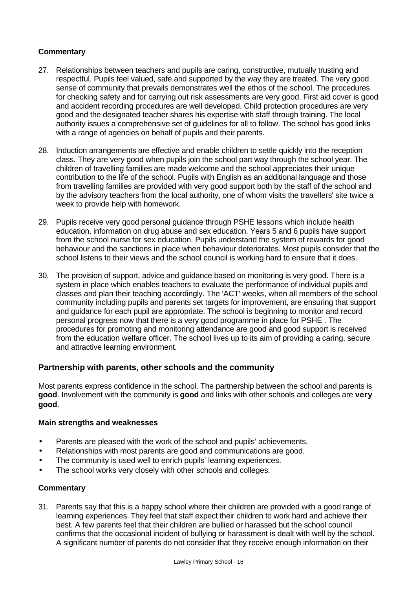### **Commentary**

- 27. Relationships between teachers and pupils are caring, constructive, mutually trusting and respectful. Pupils feel valued, safe and supported by the way they are treated. The very good sense of community that prevails demonstrates well the ethos of the school. The procedures for checking safety and for carrying out risk assessments are very good. First aid cover is good and accident recording procedures are well developed. Child protection procedures are very good and the designated teacher shares his expertise with staff through training. The local authority issues a comprehensive set of guidelines for all to follow. The school has good links with a range of agencies on behalf of pupils and their parents.
- 28. Induction arrangements are effective and enable children to settle quickly into the reception class. They are very good when pupils join the school part way through the school year. The children of travelling families are made welcome and the school appreciates their unique contribution to the life of the school. Pupils with English as an additional language and those from travelling families are provided with very good support both by the staff of the school and by the advisory teachers from the local authority, one of whom visits the travellers' site twice a week to provide help with homework.
- 29. Pupils receive very good personal guidance through PSHE lessons which include health education, information on drug abuse and sex education. Years 5 and 6 pupils have support from the school nurse for sex education. Pupils understand the system of rewards for good behaviour and the sanctions in place when behaviour deteriorates. Most pupils consider that the school listens to their views and the school council is working hard to ensure that it does.
- 30. The provision of support, advice and guidance based on monitoring is very good. There is a system in place which enables teachers to evaluate the performance of individual pupils and classes and plan their teaching accordingly. The 'ACT' weeks, when all members of the school community including pupils and parents set targets for improvement, are ensuring that support and guidance for each pupil are appropriate. The school is beginning to monitor and record personal progress now that there is a very good programme in place for PSHE . The procedures for promoting and monitoring attendance are good and good support is received from the education welfare officer. The school lives up to its aim of providing a caring, secure and attractive learning environment.

# **Partnership with parents, other schools and the community**

Most parents express confidence in the school. The partnership between the school and parents is **good**. Involvement with the community is **good** and links with other schools and colleges are **very good**.

#### **Main strengths and weaknesses**

- Parents are pleased with the work of the school and pupils' achievements.
- Relationships with most parents are good and communications are good.
- The community is used well to enrich pupils' learning experiences.
- The school works very closely with other schools and colleges.

#### **Commentary**

31. Parents say that this is a happy school where their children are provided with a good range of learning experiences. They feel that staff expect their children to work hard and achieve their best. A few parents feel that their children are bullied or harassed but the school council confirms that the occasional incident of bullying or harassment is dealt with well by the school. A significant number of parents do not consider that they receive enough information on their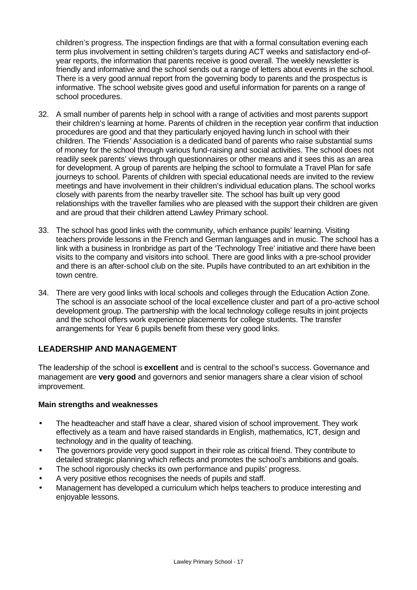children's progress. The inspection findings are that with a formal consultation evening each term plus involvement in setting children's targets during ACT weeks and satisfactory end-ofyear reports, the information that parents receive is good overall. The weekly newsletter is friendly and informative and the school sends out a range of letters about events in the school. There is a very good annual report from the governing body to parents and the prospectus is informative. The school website gives good and useful information for parents on a range of school procedures.

- 32. A small number of parents help in school with a range of activities and most parents support their children's learning at home. Parents of children in the reception year confirm that induction procedures are good and that they particularly enjoyed having lunch in school with their children. The 'Friends' Association is a dedicated band of parents who raise substantial sums of money for the school through various fund-raising and social activities. The school does not readily seek parents' views through questionnaires or other means and it sees this as an area for development. A group of parents are helping the school to formulate a Travel Plan for safe journeys to school. Parents of children with special educational needs are invited to the review meetings and have involvement in their children's individual education plans. The school works closely with parents from the nearby traveller site. The school has built up very good relationships with the traveller families who are pleased with the support their children are given and are proud that their children attend Lawley Primary school.
- 33. The school has good links with the community, which enhance pupils' learning. Visiting teachers provide lessons in the French and German languages and in music. The school has a link with a business in Ironbridge as part of the 'Technology Tree' initiative and there have been visits to the company and visitors into school. There are good links with a pre-school provider and there is an after-school club on the site. Pupils have contributed to an art exhibition in the town centre.
- 34. There are very good links with local schools and colleges through the Education Action Zone. The school is an associate school of the local excellence cluster and part of a pro-active school development group. The partnership with the local technology college results in joint projects and the school offers work experience placements for college students. The transfer arrangements for Year 6 pupils benefit from these very good links.

# **LEADERSHIP AND MANAGEMENT**

The leadership of the school is **excellent** and is central to the school's success. Governance and management are **very good** and governors and senior managers share a clear vision of school improvement.

#### **Main strengths and weaknesses**

- The headteacher and staff have a clear, shared vision of school improvement. They work effectively as a team and have raised standards in English, mathematics, ICT, design and technology and in the quality of teaching.
- The governors provide very good support in their role as critical friend. They contribute to detailed strategic planning which reflects and promotes the school's ambitions and goals.
- The school rigorously checks its own performance and pupils' progress.
- A very positive ethos recognises the needs of pupils and staff.
- Management has developed a curriculum which helps teachers to produce interesting and enjoyable lessons.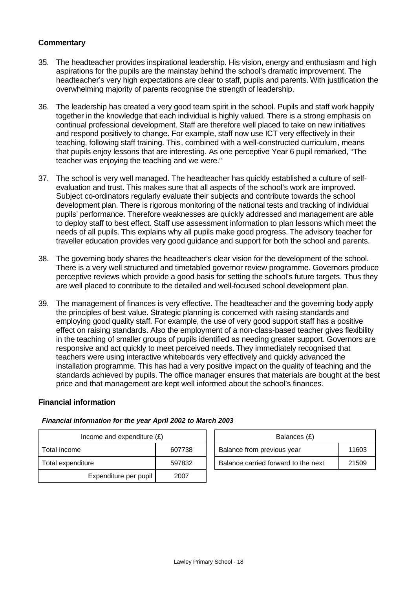### **Commentary**

- 35. The headteacher provides inspirational leadership. His vision, energy and enthusiasm and high aspirations for the pupils are the mainstay behind the school's dramatic improvement. The headteacher's very high expectations are clear to staff, pupils and parents. With justification the overwhelming majority of parents recognise the strength of leadership.
- 36. The leadership has created a very good team spirit in the school. Pupils and staff work happily together in the knowledge that each individual is highly valued. There is a strong emphasis on continual professional development. Staff are therefore well placed to take on new initiatives and respond positively to change. For example, staff now use ICT very effectively in their teaching, following staff training. This, combined with a well-constructed curriculum, means that pupils enjoy lessons that are interesting. As one perceptive Year 6 pupil remarked, "The teacher was enjoying the teaching and we were."
- 37. The school is very well managed. The headteacher has quickly established a culture of selfevaluation and trust. This makes sure that all aspects of the school's work are improved. Subject co-ordinators regularly evaluate their subjects and contribute towards the school development plan. There is rigorous monitoring of the national tests and tracking of individual pupils' performance. Therefore weaknesses are quickly addressed and management are able to deploy staff to best effect. Staff use assessment information to plan lessons which meet the needs of all pupils. This explains why all pupils make good progress. The advisory teacher for traveller education provides very good guidance and support for both the school and parents.
- 38. The governing body shares the headteacher's clear vision for the development of the school. There is a very well structured and timetabled governor review programme. Governors produce perceptive reviews which provide a good basis for setting the school's future targets. Thus they are well placed to contribute to the detailed and well-focused school development plan.
- 39. The management of finances is very effective. The headteacher and the governing body apply the principles of best value. Strategic planning is concerned with raising standards and employing good quality staff. For example, the use of very good support staff has a positive effect on raising standards. Also the employment of a non-class-based teacher gives flexibility in the teaching of smaller groups of pupils identified as needing greater support. Governors are responsive and act quickly to meet perceived needs. They immediately recognised that teachers were using interactive whiteboards very effectively and quickly advanced the installation programme. This has had a very positive impact on the quality of teaching and the standards achieved by pupils. The office manager ensures that materials are bought at the best price and that management are kept well informed about the school's finances.

#### **Financial information**

| Income and expenditure $(E)$ |        |  | Balances (£)                        |       |  |
|------------------------------|--------|--|-------------------------------------|-------|--|
| 607738<br>Total income       |        |  | Balance from previous year          | 11603 |  |
| Total expenditure            | 597832 |  | Balance carried forward to the next | 21509 |  |
| Expenditure per pupil        | 2007   |  |                                     |       |  |

#### *Financial information for the year April 2002 to March 2003*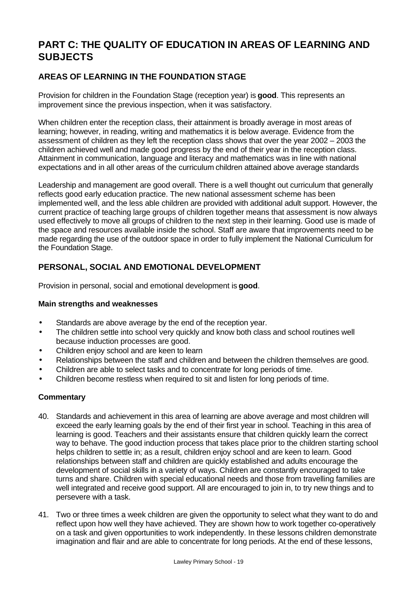# **PART C: THE QUALITY OF EDUCATION IN AREAS OF LEARNING AND SUBJECTS**

# **AREAS OF LEARNING IN THE FOUNDATION STAGE**

Provision for children in the Foundation Stage (reception year) is **good**. This represents an improvement since the previous inspection, when it was satisfactory.

When children enter the reception class, their attainment is broadly average in most areas of learning; however, in reading, writing and mathematics it is below average. Evidence from the assessment of children as they left the reception class shows that over the year 2002 – 2003 the children achieved well and made good progress by the end of their year in the reception class. Attainment in communication, language and literacy and mathematics was in line with national expectations and in all other areas of the curriculum children attained above average standards

Leadership and management are good overall. There is a well thought out curriculum that generally reflects good early education practice. The new national assessment scheme has been implemented well, and the less able children are provided with additional adult support. However, the current practice of teaching large groups of children together means that assessment is now always used effectively to move all groups of children to the next step in their learning. Good use is made of the space and resources available inside the school. Staff are aware that improvements need to be made regarding the use of the outdoor space in order to fully implement the National Curriculum for the Foundation Stage.

# **PERSONAL, SOCIAL AND EMOTIONAL DEVELOPMENT**

Provision in personal, social and emotional development is **good**.

# **Main strengths and weaknesses**

- Standards are above average by the end of the reception year.
- The children settle into school very quickly and know both class and school routines well because induction processes are good.
- Children enjoy school and are keen to learn
- Relationships between the staff and children and between the children themselves are good.
- Children are able to select tasks and to concentrate for long periods of time.
- Children become restless when required to sit and listen for long periods of time.

- 40. Standards and achievement in this area of learning are above average and most children will exceed the early learning goals by the end of their first year in school. Teaching in this area of learning is good. Teachers and their assistants ensure that children quickly learn the correct way to behave. The good induction process that takes place prior to the children starting school helps children to settle in; as a result, children enjoy school and are keen to learn. Good relationships between staff and children are quickly established and adults encourage the development of social skills in a variety of ways. Children are constantly encouraged to take turns and share. Children with special educational needs and those from travelling families are well integrated and receive good support. All are encouraged to join in, to try new things and to persevere with a task.
- 41. Two or three times a week children are given the opportunity to select what they want to do and reflect upon how well they have achieved. They are shown how to work together co-operatively on a task and given opportunities to work independently. In these lessons children demonstrate imagination and flair and are able to concentrate for long periods. At the end of these lessons,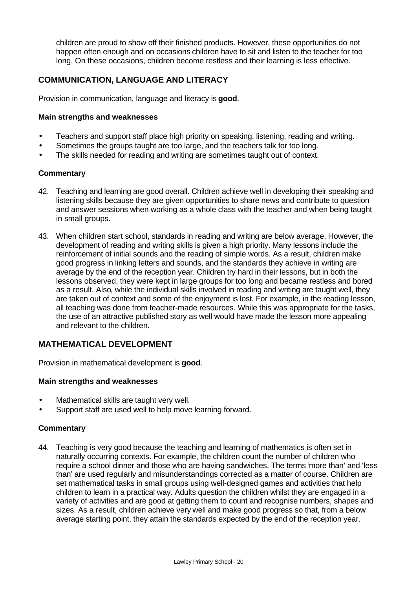children are proud to show off their finished products. However, these opportunities do not happen often enough and on occasions children have to sit and listen to the teacher for too long. On these occasions, children become restless and their learning is less effective.

# **COMMUNICATION, LANGUAGE AND LITERACY**

Provision in communication, language and literacy is **good**.

#### **Main strengths and weaknesses**

- Teachers and support staff place high priority on speaking, listening, reading and writing.
- Sometimes the groups taught are too large, and the teachers talk for too long.
- The skills needed for reading and writing are sometimes taught out of context.

#### **Commentary**

- 42. Teaching and learning are good overall. Children achieve well in developing their speaking and listening skills because they are given opportunities to share news and contribute to question and answer sessions when working as a whole class with the teacher and when being taught in small groups.
- 43. When children start school, standards in reading and writing are below average. However, the development of reading and writing skills is given a high priority. Many lessons include the reinforcement of initial sounds and the reading of simple words. As a result, children make good progress in linking letters and sounds, and the standards they achieve in writing are average by the end of the reception year. Children try hard in their lessons, but in both the lessons observed, they were kept in large groups for too long and became restless and bored as a result. Also, while the individual skills involved in reading and writing are taught well, they are taken out of context and some of the enjoyment is lost. For example, in the reading lesson, all teaching was done from teacher-made resources. While this was appropriate for the tasks, the use of an attractive published story as well would have made the lesson more appealing and relevant to the children.

# **MATHEMATICAL DEVELOPMENT**

Provision in mathematical development is **good**.

#### **Main strengths and weaknesses**

- Mathematical skills are taught very well.
- Support staff are used well to help move learning forward.

#### **Commentary**

44. Teaching is very good because the teaching and learning of mathematics is often set in naturally occurring contexts. For example, the children count the number of children who require a school dinner and those who are having sandwiches. The terms 'more than' and 'less than' are used regularly and misunderstandings corrected as a matter of course. Children are set mathematical tasks in small groups using well-designed games and activities that help children to learn in a practical way. Adults question the children whilst they are engaged in a variety of activities and are good at getting them to count and recognise numbers, shapes and sizes. As a result, children achieve very well and make good progress so that, from a below average starting point, they attain the standards expected by the end of the reception year.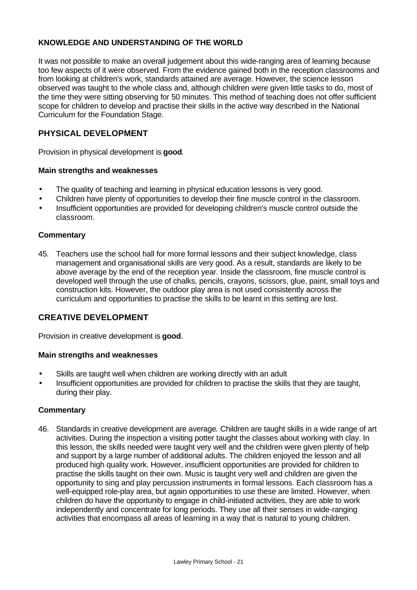# **KNOWLEDGE AND UNDERSTANDING OF THE WORLD**

It was not possible to make an overall judgement about this wide-ranging area of learning because too few aspects of it were observed. From the evidence gained both in the reception classrooms and from looking at children's work, standards attained are average. However, the science lesson observed was taught to the whole class and, although children were given little tasks to do, most of the time they were sitting observing for 50 minutes. This method of teaching does not offer sufficient scope for children to develop and practise their skills in the active way described in the National Curriculum for the Foundation Stage.

# **PHYSICAL DEVELOPMENT**

Provision in physical development is **good***.*

#### **Main strengths and weaknesses**

- The quality of teaching and learning in physical education lessons is very good.
- Children have plenty of opportunities to develop their fine muscle control in the classroom.
- Insufficient opportunities are provided for developing children's muscle control outside the classroom.

#### **Commentary**

45. Teachers use the school hall for more formal lessons and their subject knowledge, class management and organisational skills are very good. As a result, standards are likely to be above average by the end of the reception year. Inside the classroom, fine muscle control is developed well through the use of chalks, pencils, crayons, scissors, glue, paint, small toys and construction kits. However, the outdoor play area is not used consistently across the curriculum and opportunities to practise the skills to be learnt in this setting are lost.

### **CREATIVE DEVELOPMENT**

Provision in creative development is **good**.

#### **Main strengths and weaknesses**

- Skills are taught well when children are working directly with an adult
- Insufficient opportunities are provided for children to practise the skills that they are taught, during their play.

#### **Commentary**

46. Standards in creative development are average*.* Children are taught skills in a wide range of art activities. During the inspection a visiting potter taught the classes about working with clay. In this lesson, the skills needed were taught very well and the children were given plenty of help and support by a large number of additional adults. The children enjoyed the lesson and all produced high quality work. However, insufficient opportunities are provided for children to practise the skills taught on their own. Music is taught very well and children are given the opportunity to sing and play percussion instruments in formal lessons. Each classroom has a well-equipped role-play area, but again opportunities to use these are limited. However, when children do have the opportunity to engage in child-initiated activities, they are able to work independently and concentrate for long periods. They use all their senses in wide-ranging activities that encompass all areas of learning in a way that is natural to young children.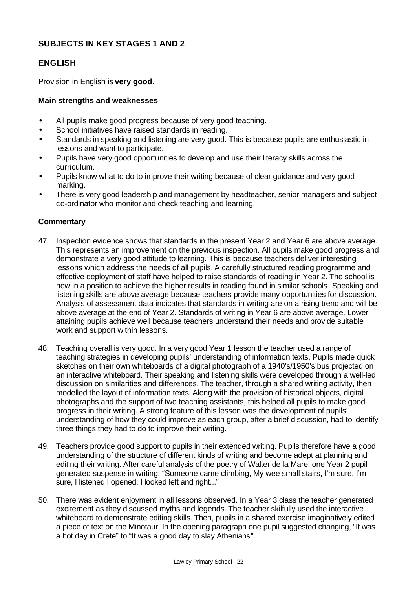# **SUBJECTS IN KEY STAGES 1 AND 2**

# **ENGLISH**

Provision in English is **very good**.

#### **Main strengths and weaknesses**

- All pupils make good progress because of very good teaching.
- School initiatives have raised standards in reading.
- Standards in speaking and listening are very good. This is because pupils are enthusiastic in lessons and want to participate.
- Pupils have very good opportunities to develop and use their literacy skills across the curriculum.
- Pupils know what to do to improve their writing because of clear guidance and very good marking.
- There is very good leadership and management by headteacher, senior managers and subject co-ordinator who monitor and check teaching and learning.

- 47. Inspection evidence shows that standards in the present Year 2 and Year 6 are above average. This represents an improvement on the previous inspection. All pupils make good progress and demonstrate a very good attitude to learning. This is because teachers deliver interesting lessons which address the needs of all pupils. A carefully structured reading programme and effective deployment of staff have helped to raise standards of reading in Year 2. The school is now in a position to achieve the higher results in reading found in similar schools. Speaking and listening skills are above average because teachers provide many opportunities for discussion. Analysis of assessment data indicates that standards in writing are on a rising trend and will be above average at the end of Year 2. Standards of writing in Year 6 are above average. Lower attaining pupils achieve well because teachers understand their needs and provide suitable work and support within lessons.
- 48. Teaching overall is very good. In a very good Year 1 lesson the teacher used a range of teaching strategies in developing pupils' understanding of information texts. Pupils made quick sketches on their own whiteboards of a digital photograph of a 1940's/1950's bus projected on an interactive whiteboard. Their speaking and listening skills were developed through a well-led discussion on similarities and differences. The teacher, through a shared writing activity, then modelled the layout of information texts. Along with the provision of historical objects, digital photographs and the support of two teaching assistants, this helped all pupils to make good progress in their writing. A strong feature of this lesson was the development of pupils' understanding of how they could improve as each group, after a brief discussion, had to identify three things they had to do to improve their writing.
- 49. Teachers provide good support to pupils in their extended writing. Pupils therefore have a good understanding of the structure of different kinds of writing and become adept at planning and editing their writing. After careful analysis of the poetry of Walter de la Mare, one Year 2 pupil generated suspense in writing: "Someone came climbing, My wee small stairs, I'm sure, I'm sure, I listened I opened, I looked left and right..."
- 50. There was evident enjoyment in all lessons observed. In a Year 3 class the teacher generated excitement as they discussed myths and legends. The teacher skilfully used the interactive whiteboard to demonstrate editing skills. Then, pupils in a shared exercise imaginatively edited a piece of text on the Minotaur. In the opening paragraph one pupil suggested changing, "It was a hot day in Crete" to "It was a good day to slay Athenians".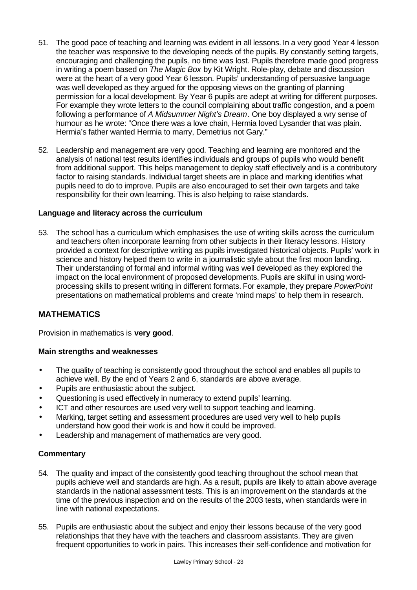- 51. The good pace of teaching and learning was evident in all lessons. In a very good Year 4 lesson the teacher was responsive to the developing needs of the pupils. By constantly setting targets, encouraging and challenging the pupils, no time was lost. Pupils therefore made good progress in writing a poem based on *The Magic Box* by Kit Wright. Role-play, debate and discussion were at the heart of a very good Year 6 lesson. Pupils' understanding of persuasive language was well developed as they argued for the opposing views on the granting of planning permission for a local development. By Year 6 pupils are adept at writing for different purposes. For example they wrote letters to the council complaining about traffic congestion, and a poem following a performance of *A Midsummer Night's Dream*. One boy displayed a wry sense of humour as he wrote: "Once there was a love chain, Hermia loved Lysander that was plain. Hermia's father wanted Hermia to marry, Demetrius not Gary."
- 52. Leadership and management are very good. Teaching and learning are monitored and the analysis of national test results identifies individuals and groups of pupils who would benefit from additional support. This helps management to deploy staff effectively and is a contributory factor to raising standards. Individual target sheets are in place and marking identifies what pupils need to do to improve. Pupils are also encouraged to set their own targets and take responsibility for their own learning. This is also helping to raise standards.

#### **Language and literacy across the curriculum**

53. The school has a curriculum which emphasises the use of writing skills across the curriculum and teachers often incorporate learning from other subjects in their literacy lessons. History provided a context for descriptive writing as pupils investigated historical objects. Pupils' work in science and history helped them to write in a journalistic style about the first moon landing. Their understanding of formal and informal writing was well developed as they explored the impact on the local environment of proposed developments. Pupils are skilful in using wordprocessing skills to present writing in different formats. For example, they prepare *PowerPoint* presentations on mathematical problems and create 'mind maps' to help them in research.

# **MATHEMATICS**

Provision in mathematics is **very good**.

#### **Main strengths and weaknesses**

- The quality of teaching is consistently good throughout the school and enables all pupils to achieve well. By the end of Years 2 and 6, standards are above average.
- Pupils are enthusiastic about the subject.
- Questioning is used effectively in numeracy to extend pupils' learning.
- ICT and other resources are used very well to support teaching and learning.
- Marking, target setting and assessment procedures are used very well to help pupils understand how good their work is and how it could be improved.
- Leadership and management of mathematics are very good.

- 54. The quality and impact of the consistently good teaching throughout the school mean that pupils achieve well and standards are high. As a result, pupils are likely to attain above average standards in the national assessment tests. This is an improvement on the standards at the time of the previous inspection and on the results of the 2003 tests, when standards were in line with national expectations.
- 55. Pupils are enthusiastic about the subject and enjoy their lessons because of the very good relationships that they have with the teachers and classroom assistants. They are given frequent opportunities to work in pairs. This increases their self-confidence and motivation for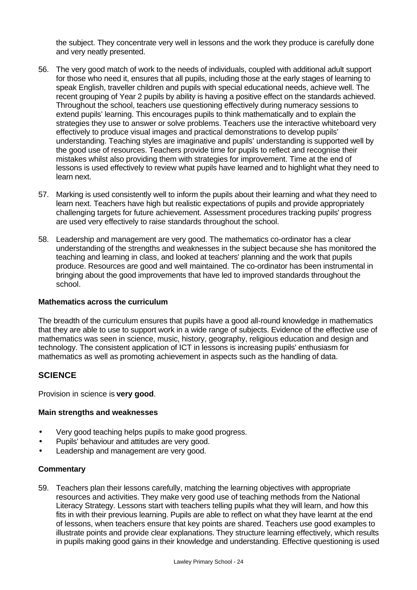the subject. They concentrate very well in lessons and the work they produce is carefully done and very neatly presented.

- 56. The very good match of work to the needs of individuals, coupled with additional adult support for those who need it, ensures that all pupils, including those at the early stages of learning to speak English, traveller children and pupils with special educational needs, achieve well. The recent grouping of Year 2 pupils by ability is having a positive effect on the standards achieved. Throughout the school, teachers use questioning effectively during numeracy sessions to extend pupils' learning. This encourages pupils to think mathematically and to explain the strategies they use to answer or solve problems. Teachers use the interactive whiteboard very effectively to produce visual images and practical demonstrations to develop pupils' understanding. Teaching styles are imaginative and pupils' understanding is supported well by the good use of resources. Teachers provide time for pupils to reflect and recognise their mistakes whilst also providing them with strategies for improvement. Time at the end of lessons is used effectively to review what pupils have learned and to highlight what they need to learn next.
- 57. Marking is used consistently well to inform the pupils about their learning and what they need to learn next. Teachers have high but realistic expectations of pupils and provide appropriately challenging targets for future achievement. Assessment procedures tracking pupils' progress are used very effectively to raise standards throughout the school.
- 58. Leadership and management are very good. The mathematics co-ordinator has a clear understanding of the strengths and weaknesses in the subject because she has monitored the teaching and learning in class, and looked at teachers' planning and the work that pupils produce. Resources are good and well maintained. The co-ordinator has been instrumental in bringing about the good improvements that have led to improved standards throughout the school.

#### **Mathematics across the curriculum**

The breadth of the curriculum ensures that pupils have a good all-round knowledge in mathematics that they are able to use to support work in a wide range of subjects. Evidence of the effective use of mathematics was seen in science, music, history, geography, religious education and design and technology. The consistent application of ICT in lessons is increasing pupils' enthusiasm for mathematics as well as promoting achievement in aspects such as the handling of data.

# **SCIENCE**

Provision in science is **very good**.

#### **Main strengths and weaknesses**

- Very good teaching helps pupils to make good progress.
- Pupils' behaviour and attitudes are very good.
- Leadership and management are very good.

#### **Commentary**

59. Teachers plan their lessons carefully, matching the learning objectives with appropriate resources and activities. They make very good use of teaching methods from the National Literacy Strategy. Lessons start with teachers telling pupils what they will learn, and how this fits in with their previous learning. Pupils are able to reflect on what they have learnt at the end of lessons, when teachers ensure that key points are shared. Teachers use good examples to illustrate points and provide clear explanations. They structure learning effectively, which results in pupils making good gains in their knowledge and understanding. Effective questioning is used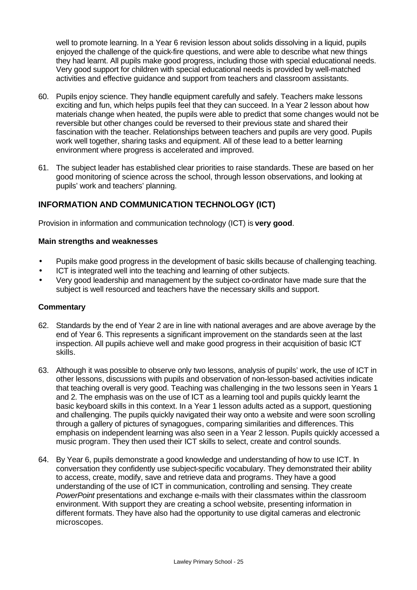well to promote learning. In a Year 6 revision lesson about solids dissolving in a liquid, pupils enjoyed the challenge of the quick-fire questions, and were able to describe what new things they had learnt. All pupils make good progress, including those with special educational needs. Very good support for children with special educational needs is provided by well-matched activities and effective guidance and support from teachers and classroom assistants.

- 60. Pupils enjoy science. They handle equipment carefully and safely. Teachers make lessons exciting and fun, which helps pupils feel that they can succeed. In a Year 2 lesson about how materials change when heated, the pupils were able to predict that some changes would not be reversible but other changes could be reversed to their previous state and shared their fascination with the teacher. Relationships between teachers and pupils are very good. Pupils work well together, sharing tasks and equipment. All of these lead to a better learning environment where progress is accelerated and improved.
- 61. The subject leader has established clear priorities to raise standards. These are based on her good monitoring of science across the school, through lesson observations, and looking at pupils' work and teachers' planning.

# **INFORMATION AND COMMUNICATION TECHNOLOGY (ICT)**

Provision in information and communication technology (ICT) is **very good**.

#### **Main strengths and weaknesses**

- Pupils make good progress in the development of basic skills because of challenging teaching.
- ICT is integrated well into the teaching and learning of other subjects.
- Very good leadership and management by the subject co-ordinator have made sure that the subject is well resourced and teachers have the necessary skills and support.

- 62. Standards by the end of Year 2 are in line with national averages and are above average by the end of Year 6. This represents a significant improvement on the standards seen at the last inspection. All pupils achieve well and make good progress in their acquisition of basic ICT skills.
- 63. Although it was possible to observe only two lessons, analysis of pupils' work, the use of ICT in other lessons, discussions with pupils and observation of non-lesson-based activities indicate that teaching overall is very good. Teaching was challenging in the two lessons seen in Years 1 and 2. The emphasis was on the use of ICT as a learning tool and pupils quickly learnt the basic keyboard skills in this context. In a Year 1 lesson adults acted as a support, questioning and challenging. The pupils quickly navigated their way onto a website and were soon scrolling through a gallery of pictures of synagogues, comparing similarities and differences. This emphasis on independent learning was also seen in a Year 2 lesson. Pupils quickly accessed a music program. They then used their ICT skills to select, create and control sounds.
- 64. By Year 6, pupils demonstrate a good knowledge and understanding of how to use ICT. In conversation they confidently use subject-specific vocabulary. They demonstrated their ability to access, create, modify, save and retrieve data and programs. They have a good understanding of the use of ICT in communication, controlling and sensing. They create *PowerPoint* presentations and exchange e-mails with their classmates within the classroom environment. With support they are creating a school website, presenting information in different formats. They have also had the opportunity to use digital cameras and electronic microscopes.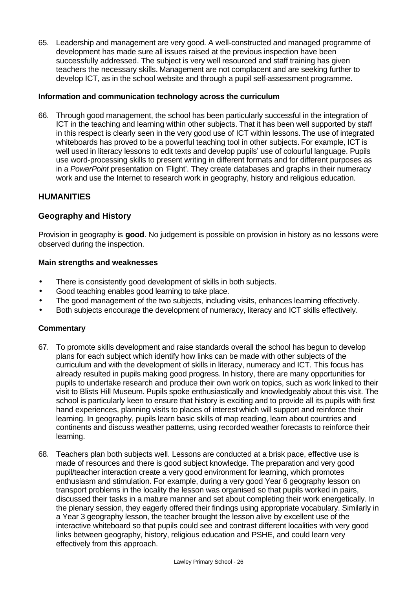65. Leadership and management are very good. A well-constructed and managed programme of development has made sure all issues raised at the previous inspection have been successfully addressed. The subject is very well resourced and staff training has given teachers the necessary skills. Management are not complacent and are seeking further to develop ICT, as in the school website and through a pupil self-assessment programme.

#### **Information and communication technology across the curriculum**

66. Through good management, the school has been particularly successful in the integration of ICT in the teaching and learning within other subjects. That it has been well supported by staff in this respect is clearly seen in the very good use of ICT within lessons. The use of integrated whiteboards has proved to be a powerful teaching tool in other subjects. For example, ICT is well used in literacy lessons to edit texts and develop pupils' use of colourful language. Pupils use word-processing skills to present writing in different formats and for different purposes as in a *PowerPoint* presentation on 'Flight'. They create databases and graphs in their numeracy work and use the Internet to research work in geography, history and religious education.

# **HUMANITIES**

# **Geography and History**

Provision in geography is **good**. No judgement is possible on provision in history as no lessons were observed during the inspection.

#### **Main strengths and weaknesses**

- There is consistently good development of skills in both subjects.
- Good teaching enables good learning to take place.
- The good management of the two subjects, including visits, enhances learning effectively.
- Both subjects encourage the development of numeracy, literacy and ICT skills effectively.

- 67. To promote skills development and raise standards overall the school has begun to develop plans for each subject which identify how links can be made with other subjects of the curriculum and with the development of skills in literacy, numeracy and ICT. This focus has already resulted in pupils making good progress. In history, there are many opportunities for pupils to undertake research and produce their own work on topics, such as work linked to their visit to Blists Hill Museum. Pupils spoke enthusiastically and knowledgeably about this visit. The school is particularly keen to ensure that history is exciting and to provide all its pupils with first hand experiences, planning visits to places of interest which will support and reinforce their learning. In geography, pupils learn basic skills of map reading, learn about countries and continents and discuss weather patterns, using recorded weather forecasts to reinforce their learning.
- 68. Teachers plan both subjects well. Lessons are conducted at a brisk pace, effective use is made of resources and there is good subject knowledge. The preparation and very good pupil/teacher interaction create a very good environment for learning, which promotes enthusiasm and stimulation. For example, during a very good Year 6 geography lesson on transport problems in the locality the lesson was organised so that pupils worked in pairs, discussed their tasks in a mature manner and set about completing their work energetically. In the plenary session, they eagerly offered their findings using appropriate vocabulary. Similarly in a Year 3 geography lesson, the teacher brought the lesson alive by excellent use of the interactive whiteboard so that pupils could see and contrast different localities with very good links between geography, history, religious education and PSHE, and could learn very effectively from this approach.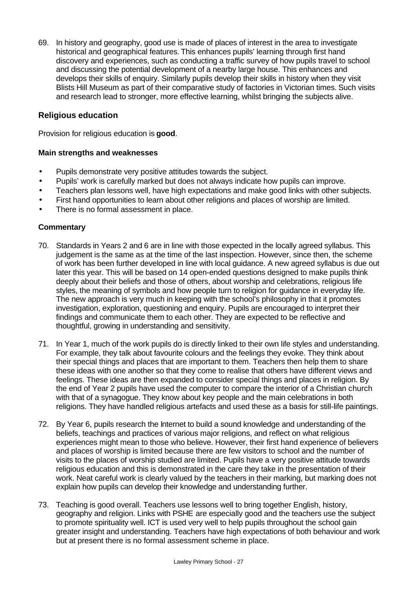69. In history and geography, good use is made of places of interest in the area to investigate historical and geographical features. This enhances pupils' learning through first hand discovery and experiences, such as conducting a traffic survey of how pupils travel to school and discussing the potential development of a nearby large house. This enhances and develops their skills of enquiry. Similarly pupils develop their skills in history when they visit Blists Hill Museum as part of their comparative study of factories in Victorian times. Such visits and research lead to stronger, more effective learning, whilst bringing the subjects alive.

# **Religious education**

Provision for religious education is **good**.

#### **Main strengths and weaknesses**

- Pupils demonstrate very positive attitudes towards the subject.
- Pupils' work is carefully marked but does not always indicate how pupils can improve.
- Teachers plan lessons well, have high expectations and make good links with other subjects.
- First hand opportunities to learn about other religions and places of worship are limited.
- There is no formal assessment in place.

- 70. Standards in Years 2 and 6 are in line with those expected in the locally agreed syllabus. This judgement is the same as at the time of the last inspection. However, since then, the scheme of work has been further developed in line with local guidance. A new agreed syllabus is due out later this year. This will be based on 14 open-ended questions designed to make pupils think deeply about their beliefs and those of others, about worship and celebrations, religious life styles, the meaning of symbols and how people turn to religion for guidance in everyday life. The new approach is very much in keeping with the school's philosophy in that it promotes investigation, exploration, questioning and enquiry. Pupils are encouraged to interpret their findings and communicate them to each other. They are expected to be reflective and thoughtful, growing in understanding and sensitivity.
- 71. In Year 1, much of the work pupils do is directly linked to their own life styles and understanding. For example, they talk about favourite colours and the feelings they evoke. They think about their special things and places that are important to them. Teachers then help them to share these ideas with one another so that they come to realise that others have different views and feelings. These ideas are then expanded to consider special things and places in religion. By the end of Year 2 pupils have used the computer to compare the interior of a Christian church with that of a synagogue. They know about key people and the main celebrations in both religions. They have handled religious artefacts and used these as a basis for still-life paintings.
- 72. By Year 6, pupils research the Internet to build a sound knowledge and understanding of the beliefs, teachings and practices of various major religions, and reflect on what religious experiences might mean to those who believe. However, their first hand experience of believers and places of worship is limited because there are few visitors to school and the number of visits to the places of worship studied are limited. Pupils have a very positive attitude towards religious education and this is demonstrated in the care they take in the presentation of their work. Neat careful work is clearly valued by the teachers in their marking, but marking does not explain how pupils can develop their knowledge and understanding further.
- 73. Teaching is good overall. Teachers use lessons well to bring together English, history, geography and religion. Links with PSHE are especially good and the teachers use the subject to promote spirituality well. ICT is used very well to help pupils throughout the school gain greater insight and understanding. Teachers have high expectations of both behaviour and work but at present there is no formal assessment scheme in place.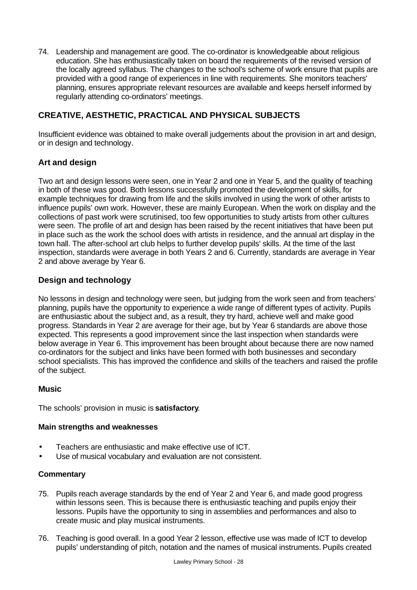74. Leadership and management are good. The co-ordinator is knowledgeable about religious education. She has enthusiastically taken on board the requirements of the revised version of the locally agreed syllabus. The changes to the school's scheme of work ensure that pupils are provided with a good range of experiences in line with requirements. She monitors teachers' planning, ensures appropriate relevant resources are available and keeps herself informed by regularly attending co-ordinators' meetings.

# **CREATIVE, AESTHETIC, PRACTICAL AND PHYSICAL SUBJECTS**

Insufficient evidence was obtained to make overall judgements about the provision in art and design, or in design and technology.

# **Art and design**

Two art and design lessons were seen, one in Year 2 and one in Year 5, and the quality of teaching in both of these was good. Both lessons successfully promoted the development of skills, for example techniques for drawing from life and the skills involved in using the work of other artists to influence pupils' own work. However, these are mainly European. When the work on display and the collections of past work were scrutinised, too few opportunities to study artists from other cultures were seen. The profile of art and design has been raised by the recent initiatives that have been put in place such as the work the school does with artists in residence, and the annual art display in the town hall. The after-school art club helps to further develop pupils' skills. At the time of the last inspection, standards were average in both Years 2 and 6. Currently, standards are average in Year 2 and above average by Year 6.

# **Design and technology**

No lessons in design and technology were seen, but judging from the work seen and from teachers' planning, pupils have the opportunity to experience a wide range of different types of activity. Pupils are enthusiastic about the subject and, as a result, they try hard, achieve well and make good progress. Standards in Year 2 are average for their age, but by Year 6 standards are above those expected. This represents a good improvement since the last inspection when standards were below average in Year 6. This improvement has been brought about because there are now named co-ordinators for the subject and links have been formed with both businesses and secondary school specialists. This has improved the confidence and skills of the teachers and raised the profile of the subject.

# **Music**

The schools' provision in music is **satisfactory**.

#### **Main strengths and weaknesses**

- Teachers are enthusiastic and make effective use of ICT.
- Use of musical vocabulary and evaluation are not consistent.

- 75. Pupils reach average standards by the end of Year 2 and Year 6, and made good progress within lessons seen. This is because there is enthusiastic teaching and pupils enjoy their lessons. Pupils have the opportunity to sing in assemblies and performances and also to create music and play musical instruments.
- 76. Teaching is good overall. In a good Year 2 lesson, effective use was made of ICT to develop pupils' understanding of pitch, notation and the names of musical instruments. Pupils created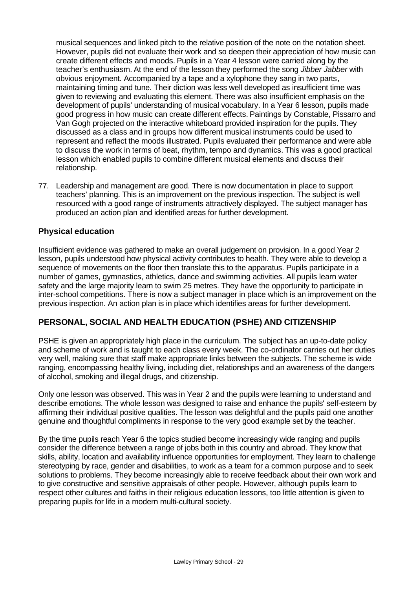musical sequences and linked pitch to the relative position of the note on the notation sheet. However, pupils did not evaluate their work and so deepen their appreciation of how music can create different effects and moods. Pupils in a Year 4 lesson were carried along by the teacher's enthusiasm. At the end of the lesson they performed the song *Jibber Jabber* with obvious enjoyment. Accompanied by a tape and a xylophone they sang in two parts, maintaining timing and tune. Their diction was less well developed as insufficient time was given to reviewing and evaluating this element. There was also insufficient emphasis on the development of pupils' understanding of musical vocabulary. In a Year 6 lesson, pupils made good progress in how music can create different effects. Paintings by Constable, Pissarro and Van Gogh projected on the interactive whiteboard provided inspiration for the pupils. They discussed as a class and in groups how different musical instruments could be used to represent and reflect the moods illustrated. Pupils evaluated their performance and were able to discuss the work in terms of beat, rhythm, tempo and dynamics. This was a good practical lesson which enabled pupils to combine different musical elements and discuss their relationship.

77. Leadership and management are good. There is now documentation in place to support teachers' planning. This is an improvement on the previous inspection. The subject is well resourced with a good range of instruments attractively displayed. The subject manager has produced an action plan and identified areas for further development.

# **Physical education**

Insufficient evidence was gathered to make an overall judgement on provision. In a good Year 2 lesson, pupils understood how physical activity contributes to health. They were able to develop a sequence of movements on the floor then translate this to the apparatus. Pupils participate in a number of games, gymnastics, athletics, dance and swimming activities. All pupils learn water safety and the large majority learn to swim 25 metres. They have the opportunity to participate in inter-school competitions. There is now a subject manager in place which is an improvement on the previous inspection. An action plan is in place which identifies areas for further development.

# **PERSONAL, SOCIAL AND HEALTH EDUCATION (PSHE) AND CITIZENSHIP**

PSHE is given an appropriately high place in the curriculum. The subject has an up-to-date policy and scheme of work and is taught to each class every week. The co-ordinator carries out her duties very well, making sure that staff make appropriate links between the subjects. The scheme is wide ranging, encompassing healthy living, including diet, relationships and an awareness of the dangers of alcohol, smoking and illegal drugs, and citizenship.

Only one lesson was observed. This was in Year 2 and the pupils were learning to understand and describe emotions. The whole lesson was designed to raise and enhance the pupils' self-esteem by affirming their individual positive qualities. The lesson was delightful and the pupils paid one another genuine and thoughtful compliments in response to the very good example set by the teacher.

By the time pupils reach Year 6 the topics studied become increasingly wide ranging and pupils consider the difference between a range of jobs both in this country and abroad. They know that skills, ability, location and availability influence opportunities for employment. They learn to challenge stereotyping by race, gender and disabilities, to work as a team for a common purpose and to seek solutions to problems. They become increasingly able to receive feedback about their own work and to give constructive and sensitive appraisals of other people. However, although pupils learn to respect other cultures and faiths in their religious education lessons, too little attention is given to preparing pupils for life in a modern multi-cultural society.